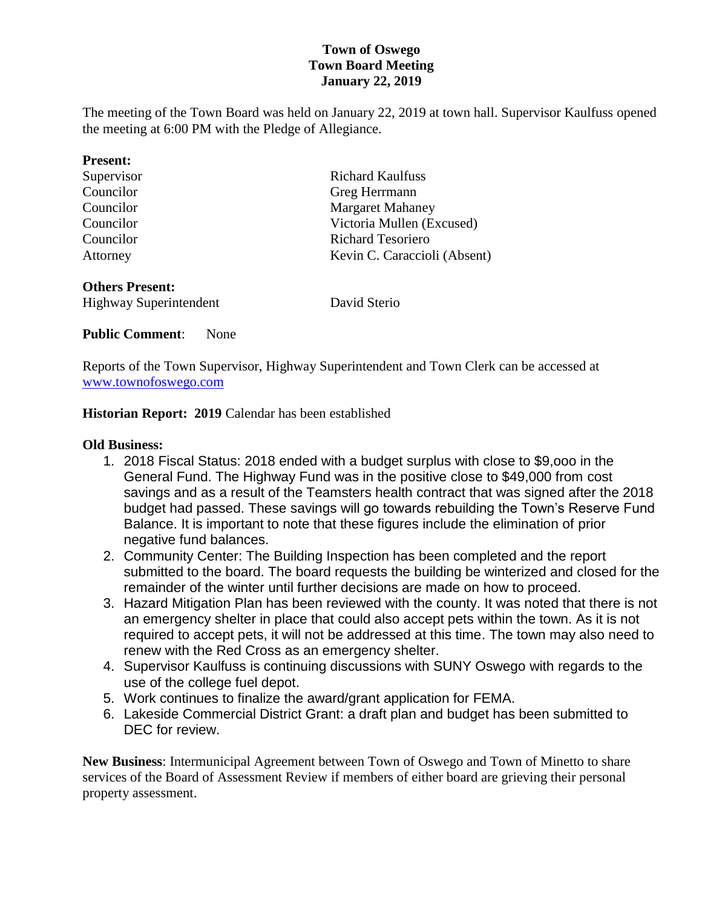# **Town of Oswego Town Board Meeting January 22, 2019**

The meeting of the Town Board was held on January 22, 2019 at town hall. Supervisor Kaulfuss opened the meeting at 6:00 PM with the Pledge of Allegiance.

| <b>Present:</b>               |                              |  |
|-------------------------------|------------------------------|--|
| Supervisor                    | <b>Richard Kaulfuss</b>      |  |
| Councilor                     | Greg Herrmann                |  |
| Councilor                     | <b>Margaret Mahaney</b>      |  |
| Councilor                     | Victoria Mullen (Excused)    |  |
| Councilor                     | <b>Richard Tesoriero</b>     |  |
| Attorney                      | Kevin C. Caraccioli (Absent) |  |
| <b>Others Present:</b>        |                              |  |
| <b>Highway Superintendent</b> | David Sterio                 |  |

#### **Public Comment**: None

Reports of the Town Supervisor, Highway Superintendent and Town Clerk can be accessed at [www.townofoswego.com](http://www.townofoswego.com/)

**Historian Report: 2019** Calendar has been established

#### **Old Business:**

- 1. 2018 Fiscal Status: 2018 ended with a budget surplus with close to \$9,ooo in the General Fund. The Highway Fund was in the positive close to \$49,000 from cost savings and as a result of the Teamsters health contract that was signed after the 2018 budget had passed. These savings will go towards rebuilding the Town's Reserve Fund Balance. It is important to note that these figures include the elimination of prior negative fund balances.
- 2. Community Center: The Building Inspection has been completed and the report submitted to the board. The board requests the building be winterized and closed for the remainder of the winter until further decisions are made on how to proceed.
- 3. Hazard Mitigation Plan has been reviewed with the county. It was noted that there is not an emergency shelter in place that could also accept pets within the town. As it is not required to accept pets, it will not be addressed at this time. The town may also need to renew with the Red Cross as an emergency shelter.
- 4. Supervisor Kaulfuss is continuing discussions with SUNY Oswego with regards to the use of the college fuel depot.
- 5. Work continues to finalize the award/grant application for FEMA.
- 6. Lakeside Commercial District Grant: a draft plan and budget has been submitted to DEC for review.

**New Business**: Intermunicipal Agreement between Town of Oswego and Town of Minetto to share services of the Board of Assessment Review if members of either board are grieving their personal property assessment.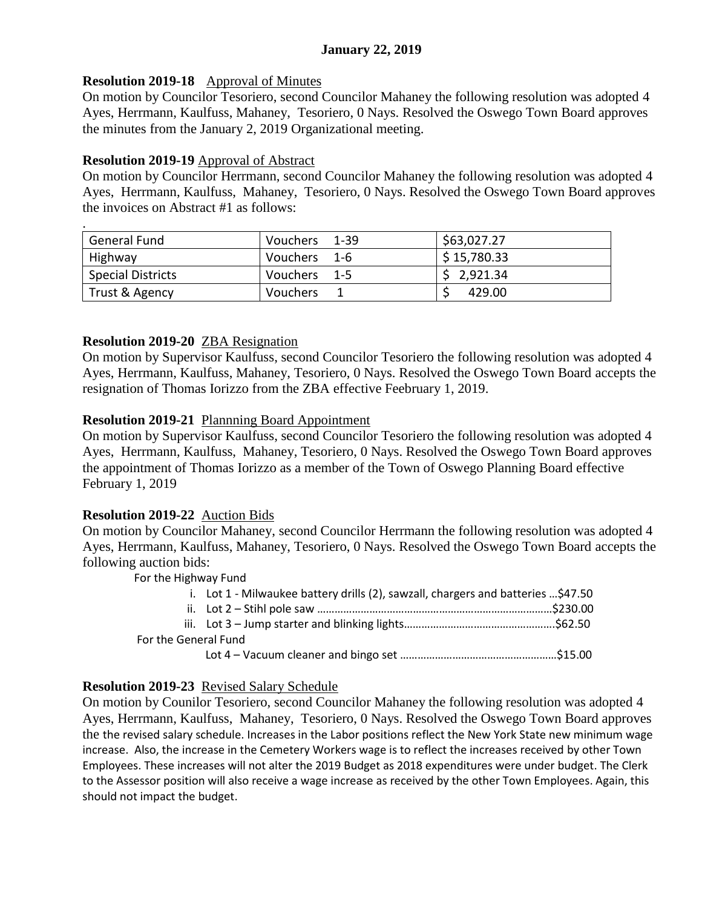# **January 22, 2019**

## **Resolution 2019-18** Approval of Minutes

On motion by Councilor Tesoriero, second Councilor Mahaney the following resolution was adopted 4 Ayes, Herrmann, Kaulfuss, Mahaney, Tesoriero, 0 Nays. Resolved the Oswego Town Board approves the minutes from the January 2, 2019 Organizational meeting.

### **Resolution 2019-19** Approval of Abstract

On motion by Councilor Herrmann, second Councilor Mahaney the following resolution was adopted 4 Ayes, Herrmann, Kaulfuss, Mahaney, Tesoriero, 0 Nays. Resolved the Oswego Town Board approves the invoices on Abstract #1 as follows:

| $\bullet$                |                 |             |
|--------------------------|-----------------|-------------|
| General Fund             | Vouchers 1-39   | \$63,027.27 |
| Highway                  | Vouchers 1-6    | \$15,780.33 |
| <b>Special Districts</b> | Vouchers 1-5    | \$2,921.34  |
| Trust & Agency           | <b>Vouchers</b> | 429.00      |

### **Resolution 2019-20** ZBA Resignation

On motion by Supervisor Kaulfuss, second Councilor Tesoriero the following resolution was adopted 4 Ayes, Herrmann, Kaulfuss, Mahaney, Tesoriero, 0 Nays. Resolved the Oswego Town Board accepts the resignation of Thomas Iorizzo from the ZBA effective Feebruary 1, 2019.

### **Resolution 2019-21** Plannning Board Appointment

On motion by Supervisor Kaulfuss, second Councilor Tesoriero the following resolution was adopted 4 Ayes, Herrmann, Kaulfuss, Mahaney, Tesoriero, 0 Nays. Resolved the Oswego Town Board approves the appointment of Thomas Iorizzo as a member of the Town of Oswego Planning Board effective February 1, 2019

# **Resolution 2019-22** Auction Bids

On motion by Councilor Mahaney, second Councilor Herrmann the following resolution was adopted 4 Ayes, Herrmann, Kaulfuss, Mahaney, Tesoriero, 0 Nays. Resolved the Oswego Town Board accepts the following auction bids:

For the Highway Fund

|                      | i. Lot 1 - Milwaukee battery drills (2), sawzall, chargers and batteries \$47.50 |  |
|----------------------|----------------------------------------------------------------------------------|--|
|                      |                                                                                  |  |
|                      |                                                                                  |  |
| For the General Fund |                                                                                  |  |
|                      |                                                                                  |  |

# **Resolution 2019-23** Revised Salary Schedule

On motion by Counilor Tesoriero, second Councilor Mahaney the following resolution was adopted 4 Ayes, Herrmann, Kaulfuss, Mahaney, Tesoriero, 0 Nays. Resolved the Oswego Town Board approves the the revised salary schedule. Increases in the Labor positions reflect the New York State new minimum wage increase. Also, the increase in the Cemetery Workers wage is to reflect the increases received by other Town Employees. These increases will not alter the 2019 Budget as 2018 expenditures were under budget. The Clerk to the Assessor position will also receive a wage increase as received by the other Town Employees. Again, this should not impact the budget.